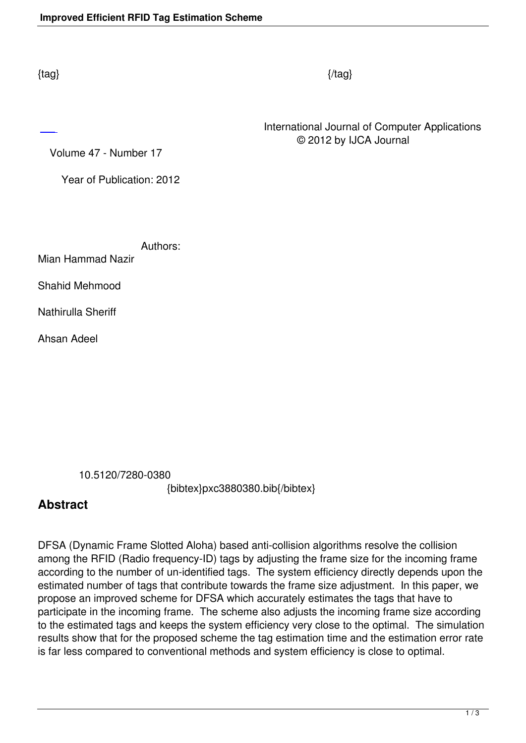International Journal of Computer Applications © 2012 by IJCA Journal

Volume 47 - Number 17

Year of Publication: 2012

Authors:

Mian Hammad Nazir

Shahid Mehmood

Nathirulla Sheriff

Ahsan Adeel

10.5120/7280-0380

{bibtex}pxc3880380.bib{/bibtex}

## **Abstract**

DFSA (Dynamic Frame Slotted Aloha) based anti-collision algorithms resolve the collision among the RFID (Radio frequency-ID) tags by adjusting the frame size for the incoming frame according to the number of un-identified tags. The system efficiency directly depends upon the estimated number of tags that contribute towards the frame size adjustment. In this paper, we propose an improved scheme for DFSA which accurately estimates the tags that have to participate in the incoming frame. The scheme also adjusts the incoming frame size according to the estimated tags and keeps the system efficiency very close to the optimal. The simulation results show that for the proposed scheme the tag estimation time and the estimation error rate is far less compared to conventional methods and system efficiency is close to optimal.